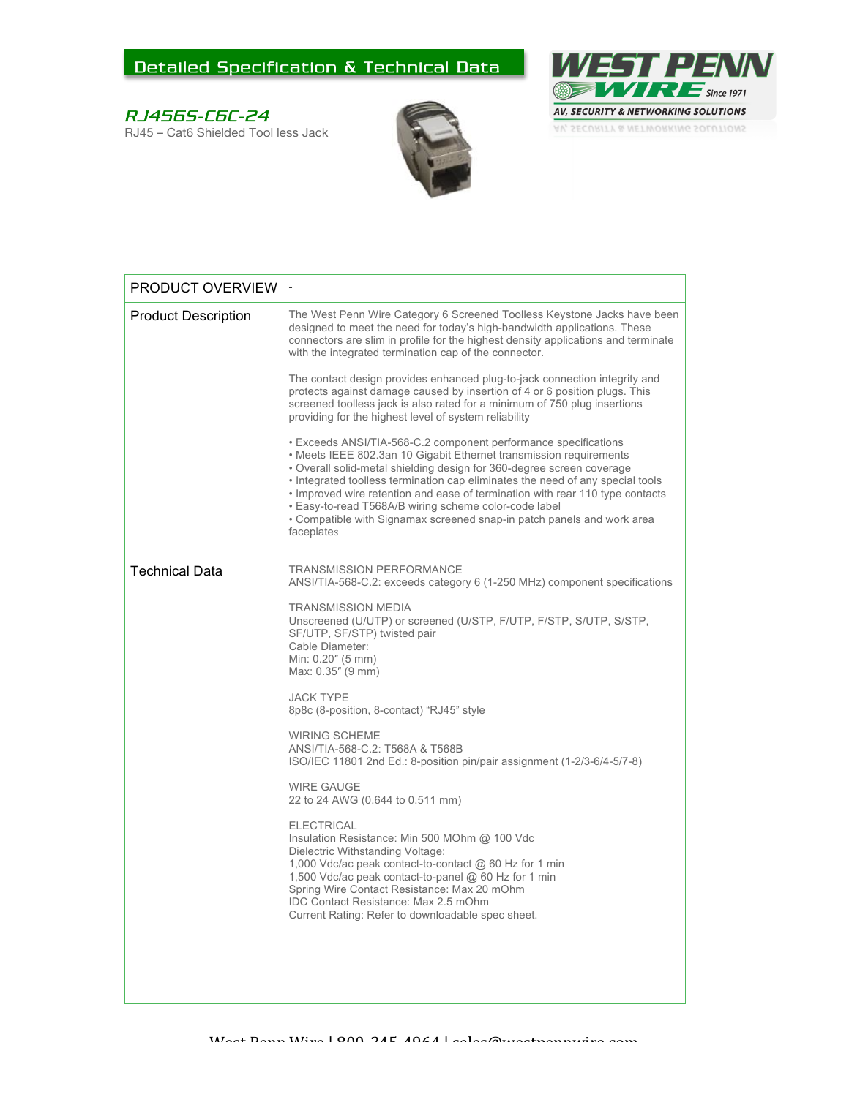## Detailed Specification & Technical Data

## RJ456S-C6C-24

RJ45 – Cat6 Shielded Tool less Jack





| The West Penn Wire Category 6 Screened Toolless Keystone Jacks have been<br><b>Product Description</b><br>designed to meet the need for today's high-bandwidth applications. These<br>connectors are slim in profile for the highest density applications and terminate<br>with the integrated termination cap of the connector.<br>The contact design provides enhanced plug-to-jack connection integrity and<br>protects against damage caused by insertion of 4 or 6 position plugs. This<br>screened toolless jack is also rated for a minimum of 750 plug insertions<br>providing for the highest level of system reliability<br>• Exceeds ANSI/TIA-568-C.2 component performance specifications<br>• Meets IEEE 802.3an 10 Gigabit Ethernet transmission requirements<br>. Overall solid-metal shielding design for 360-degree screen coverage<br>• Integrated toolless termination cap eliminates the need of any special tools<br>. Improved wire retention and ease of termination with rear 110 type contacts<br>· Easy-to-read T568A/B wiring scheme color-code label<br>• Compatible with Signamax screened snap-in patch panels and work area<br>faceplates<br><b>Technical Data</b><br><b>TRANSMISSION PERFORMANCE</b><br>ANSI/TIA-568-C.2: exceeds category 6 (1-250 MHz) component specifications<br><b>TRANSMISSION MEDIA</b><br>Unscreened (U/UTP) or screened (U/STP, F/UTP, F/STP, S/UTP, S/STP,<br>SF/UTP, SF/STP) twisted pair<br>Cable Diameter:<br>Min: 0.20" (5 mm)<br>Max: 0.35" (9 mm)<br><b>JACK TYPE</b><br>8p8c (8-position, 8-contact) "RJ45" style<br><b>WIRING SCHEME</b><br>ANSI/TIA-568-C.2: T568A & T568B<br>ISO/IEC 11801 2nd Ed.: 8-position pin/pair assignment (1-2/3-6/4-5/7-8)<br><b>WIRE GAUGE</b><br>22 to 24 AWG (0.644 to 0.511 mm)<br><b>ELECTRICAL</b><br>Insulation Resistance: Min 500 MOhm @ 100 Vdc<br>Dielectric Withstanding Voltage:<br>1,000 Vdc/ac peak contact-to-contact @ 60 Hz for 1 min<br>1,500 Vdc/ac peak contact-to-panel @ 60 Hz for 1 min<br>Spring Wire Contact Resistance: Max 20 mOhm<br><b>IDC Contact Resistance: Max 2.5 mOhm</b><br>Current Rating: Refer to downloadable spec sheet. | PRODUCT OVERVIEW |  |
|------------------------------------------------------------------------------------------------------------------------------------------------------------------------------------------------------------------------------------------------------------------------------------------------------------------------------------------------------------------------------------------------------------------------------------------------------------------------------------------------------------------------------------------------------------------------------------------------------------------------------------------------------------------------------------------------------------------------------------------------------------------------------------------------------------------------------------------------------------------------------------------------------------------------------------------------------------------------------------------------------------------------------------------------------------------------------------------------------------------------------------------------------------------------------------------------------------------------------------------------------------------------------------------------------------------------------------------------------------------------------------------------------------------------------------------------------------------------------------------------------------------------------------------------------------------------------------------------------------------------------------------------------------------------------------------------------------------------------------------------------------------------------------------------------------------------------------------------------------------------------------------------------------------------------------------------------------------------------------------------------------------------------------------------------------------------------------------------------------------------------------------------------------------|------------------|--|
|                                                                                                                                                                                                                                                                                                                                                                                                                                                                                                                                                                                                                                                                                                                                                                                                                                                                                                                                                                                                                                                                                                                                                                                                                                                                                                                                                                                                                                                                                                                                                                                                                                                                                                                                                                                                                                                                                                                                                                                                                                                                                                                                                                  |                  |  |
|                                                                                                                                                                                                                                                                                                                                                                                                                                                                                                                                                                                                                                                                                                                                                                                                                                                                                                                                                                                                                                                                                                                                                                                                                                                                                                                                                                                                                                                                                                                                                                                                                                                                                                                                                                                                                                                                                                                                                                                                                                                                                                                                                                  |                  |  |
|                                                                                                                                                                                                                                                                                                                                                                                                                                                                                                                                                                                                                                                                                                                                                                                                                                                                                                                                                                                                                                                                                                                                                                                                                                                                                                                                                                                                                                                                                                                                                                                                                                                                                                                                                                                                                                                                                                                                                                                                                                                                                                                                                                  |                  |  |
|                                                                                                                                                                                                                                                                                                                                                                                                                                                                                                                                                                                                                                                                                                                                                                                                                                                                                                                                                                                                                                                                                                                                                                                                                                                                                                                                                                                                                                                                                                                                                                                                                                                                                                                                                                                                                                                                                                                                                                                                                                                                                                                                                                  |                  |  |
|                                                                                                                                                                                                                                                                                                                                                                                                                                                                                                                                                                                                                                                                                                                                                                                                                                                                                                                                                                                                                                                                                                                                                                                                                                                                                                                                                                                                                                                                                                                                                                                                                                                                                                                                                                                                                                                                                                                                                                                                                                                                                                                                                                  |                  |  |
|                                                                                                                                                                                                                                                                                                                                                                                                                                                                                                                                                                                                                                                                                                                                                                                                                                                                                                                                                                                                                                                                                                                                                                                                                                                                                                                                                                                                                                                                                                                                                                                                                                                                                                                                                                                                                                                                                                                                                                                                                                                                                                                                                                  |                  |  |
|                                                                                                                                                                                                                                                                                                                                                                                                                                                                                                                                                                                                                                                                                                                                                                                                                                                                                                                                                                                                                                                                                                                                                                                                                                                                                                                                                                                                                                                                                                                                                                                                                                                                                                                                                                                                                                                                                                                                                                                                                                                                                                                                                                  |                  |  |
|                                                                                                                                                                                                                                                                                                                                                                                                                                                                                                                                                                                                                                                                                                                                                                                                                                                                                                                                                                                                                                                                                                                                                                                                                                                                                                                                                                                                                                                                                                                                                                                                                                                                                                                                                                                                                                                                                                                                                                                                                                                                                                                                                                  |                  |  |
|                                                                                                                                                                                                                                                                                                                                                                                                                                                                                                                                                                                                                                                                                                                                                                                                                                                                                                                                                                                                                                                                                                                                                                                                                                                                                                                                                                                                                                                                                                                                                                                                                                                                                                                                                                                                                                                                                                                                                                                                                                                                                                                                                                  |                  |  |
|                                                                                                                                                                                                                                                                                                                                                                                                                                                                                                                                                                                                                                                                                                                                                                                                                                                                                                                                                                                                                                                                                                                                                                                                                                                                                                                                                                                                                                                                                                                                                                                                                                                                                                                                                                                                                                                                                                                                                                                                                                                                                                                                                                  |                  |  |